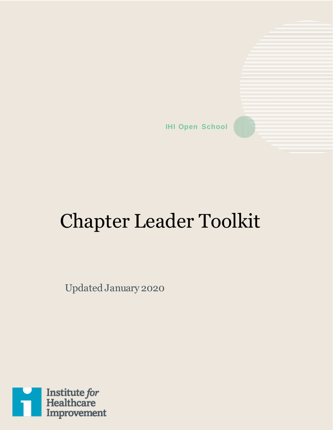**IHI Open School**

# Chapter Leader Toolkit

Updated January 2020

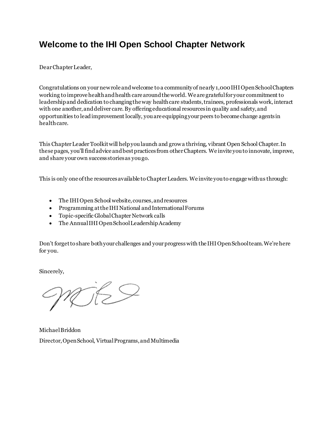## **Welcome to the IHI Open School Chapter Network**

Dear Chapter Leader,

Congratulations on your new role and welcome to a community of nearly 1,000IHI Open School Chapters working to improve health and health care around the world. We are grateful for your commitment to leadership and dedication to changing the way health care students, trainees, professionals work, interact with one another, and deliver care.By offering educational resources in quality and safety, and opportunities to lead improvement locally, you are equipping your peers to become change agents in health care.

This Chapter Leader Toolkit will help you launch and growa thriving, vibrant Open School Chapter. In these pages, you'll find advice and best practices from other Chapters. We invite you to innovate, improve, and share your own success storiesas you go.

This is only one of the resources available to Chapter Leaders. We invite you to engage with us through:

- The IHI Open School website, courses, and resources
- Programming at the IHI National and International Forums
- Topic-specific Global Chapter Network calls
- The Annual IHI Open School Leadership Academy

Don't forget to share both your challenges and your progress with the IHI Open School team. We're here for you.

Sincerely,

RIES

Michael Briddon Director, Open School, Virtual Programs, and Multimedia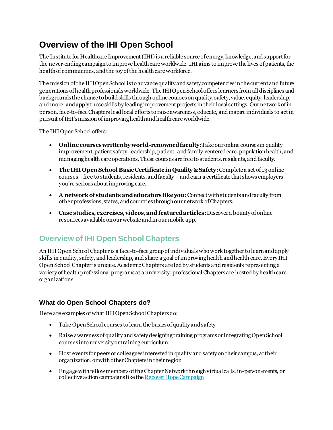# **Overview of the IHI Open School**

The Institute for Healthcare Improvement (IHI) is a reliable source of energy, knowledge, and support for the never-ending campaign to improve health care worldwide. IHI aimsto improve the lives of patients, the health of communities, and the joy of the health care workforce.

The mission of the IHI Open School is to advance quality andsafety competencies in the current and future generationsof health professionals worldwide. The IHI Open School offers learners from all disciplines and backgrounds the chance to build skills through online courses on quality, safety, value, equity, leadership, and more, and apply those skills by leading improvement projects in their local settings. Ournetwork of inperson, face-to-face Chapters lead local efforts to raise awareness, educate, and inspire individuals to act in pursuit ofIHI's mission of improving health and health care worldwide.

The IHI Open School offers:

- **Online courses written by world-renowned faculty**:Take our online courses in quality improvement, patient safety, leadership, patient- and family-centered care, population health, and managing health care operations. These courses are free to students, residents, and faculty.
- **The IHI Open School Basic Certificate in Quality & Safety**:Complete a set of 13 online courses –free to students, residents, and faculty –and earn a certificate that shows employers you're serious about improving care.
- **A network of students and educators like you**:Connect with students and faculty from other professions, states, and countries through our network of Chapters.
- **Case studies, exercises, videos, and featured articles**:Discover a bounty of online resources available on our website and in our mobile app.

## **Overview of IHI Open School Chapters**

An IHI Open School Chapter is a face-to-face group of individuals who work together to learn and apply skills in quality, safety, and leadership, and share a goal ofimprovinghealth and health care. Every IHI Open School Chapter is unique. Academic Chapters are led by students and residents representing a variety of health professional programs at a university; professional Chaptersare hosted by health care organizations.

#### **What do Open School Chapters do?**

Here are examples of what IHI Open School Chapters do:

- Take Open School courses to learn the basics of quality and safety
- Raise awareness of quality and safety designing training programs or integrating Open School courses into university or training curriculum
- Host events for peers or colleagues interested in quality andsafety on their campus, at their organization,or with other Chapters in their region
- Engage with fellow members of the Chapter Network through virtual calls, in-person events, or collective action campaigns like th[e Recover Hope Campaign](http://www.ihi.org/education/IHIOpenSchool/Recover-Hope-Campaign/Pages/default.aspx)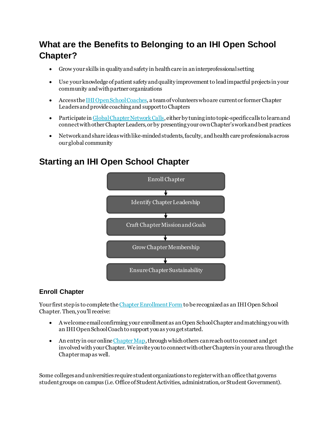# **What are the Benefits to Belonging to an IHI Open School Chapter?**

- Grow your skills in quality and safety in health care in an interprofessional setting
- Use your knowledge of patient safety and quality improvement to leadimpactful projects in your community and with partner organizations
- Access th[e IHI Open School Coaches,](http://www.ihi.org/education/IHIOpenSchool/Chapters/Pages/ChapterLeaderResources.aspx) a team of volunteers who are current or former Chapter Leaders and provide coaching and support to Chapters
- Participate i[n Global Chapter Network Calls](http://www.ihi.org/education/IHIOpenSchool/Chapters/Pages/GlobalCall.aspx), either by tuning into topic-specific calls to learn and connect with other Chapter Leaders, orby presentingyour own Chapter's work and best practices
- Network and share ideas with like-minded students, faculty, and health care professionals across our global community

## **Starting an IHI Open School Chapter**



#### **Enroll Chapter**

Your first step is to complete th[e Chapter Enrollment Form](https://docs.google.com/forms/d/e/1FAIpQLSdGqgfHAv5Utyp_hwjV7mWTnRT4bVuWJJ1ViThbZ02VlasrRw/viewform) to be recognized as an IHI Open School Chapter. Then, you'll receive:

- A welcome email confirming your enrollment as anOpen School Chapter and matching you with an IHI Open School Coach to support you as you get started.
- An entry in our online Chapter Map, through which others can reach out to connect and get involved with your Chapter. We invite you to connect with other Chapters in your area through the Chapter mapas well.

Some colleges and universities require student organizations to register with an office that governs student groups on campus (i.e. Office of Student Activities, administration, or Student Government).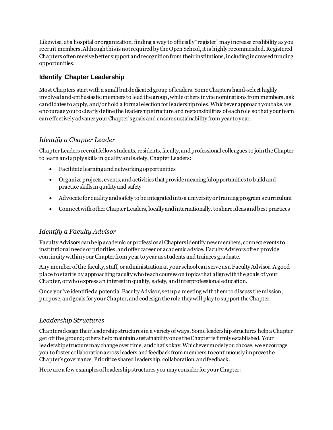Likewise, at a hospital or organization, finding a way to officially "register" may increase credibility as you recruit members. Although this is not required by the Open School, it is highly recommended.Registered Chapters often receive better support and recognition from their institutions, including increased funding opportunities.

#### **Identify Chapter Leadership**

Most Chapters start with a small but dedicated group of leaders. Some Chapters hand-select highly involved and enthusiastic members to lead the group, while others invite nominations from members, ask candidates to apply, and/or hold a formal election for leadership roles. Whichever approach you take, we encourage you to clearly define the leadership structure and responsibilities of each role so that your team can effectively advance your Chapter's goals and ensure sustainability from year to year.

#### *Identify a Chapter Leader*

Chapter Leaders recruit fellow students, residents, faculty, and professional colleagues to join the Chapter to learn and apply skills in quality and safety. Chapter Leaders:

- Facilitate learning and networking opportunities
- Organize projects, events, and activities that provide meaningful opportunities to build and practice skills in quality and safety
- Advocate for quality and safety to be integrated into a university or training program's curriculum
- Connect with other Chapter Leaders, locally and internationally, to share ideas and best practices

#### *Identify a Faculty Advisor*

Faculty Advisors can help academic or professional Chapters identify new members, connect events to institutional needs or priorities, and offer career or academic advice. Faculty Advisors oftenprovide continuity within your Chapter from year to year as students and trainees graduate.

Any member of the faculty, staff, or administration at your school can serve as a Faculty Advisor. A good place to start is by approaching faculty who teach courses on topics that align with the goals of your Chapter, or who express an interest in quality, safety, and interprofessional education.

Once you've identified a potential Faculty Advisor, set up a meeting with them to discuss the mission, purpose, and goals for your Chapter, and codesign the role they will play to support the Chapter.

#### *Leadership Structures*

Chapters design their leadership structures in a variety of ways. Some leadership structures help a Chapter get off the ground; others help maintain sustainability once the Chapter is firmly established. Your leadership structure may change over time, and that's okay.Whichever model you choose, we encourage you to foster collaboration across leaders and feedback from members to continuously improve the Chapter's governance. Prioritize shared leadership, collaboration, and feedback.

Here are a few examples of leadership structures you may consider for your Chapter: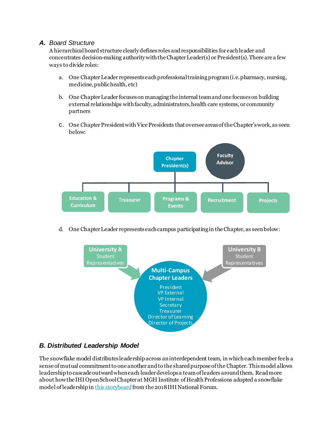#### *A. Board Structure*

A hierarchical board structure clearly defines roles and responsibilities for each leader and concentrates decision-making authority with the Chapter Leader(s) or President(s). There are a few ways to divide roles:

- a. One Chapter Leader representseach professional training program (i.e. pharmacy, nursing, medicine, public health, etc)
- b. One Chapter Leader focuses on managing the internal team and one focuseson building external relationships with faculty, administrators, health care systems, or community partners
- c. One Chapter President with Vice Presidents thatoversee areas of the Chapter's work, as seen below:



d. One Chapter Leader represents each campus participating in the Chapter, as seen below:



#### *B. Distributed Leadership Model*

The snowflake model distributes leadership across an interdependent team, in which each member feels a sense of mutual commitment to one another and to the shared purpose of the Chapter. This model allows leadership to cascade outward when each leader develops a team of leaders around them. Read more about how the IHI Open School Chapter at MGH Institute of Health Professions adopted a snowflake model of leadership i[n this storyboard](http://app.ihi.org/FacultyDocuments/Events/Event-3135/Posterboard-6991/Document-6730/MGH_IHP_IHI_National_Conference_Poster_Submission.pdf) from the 2018 IHI National Forum.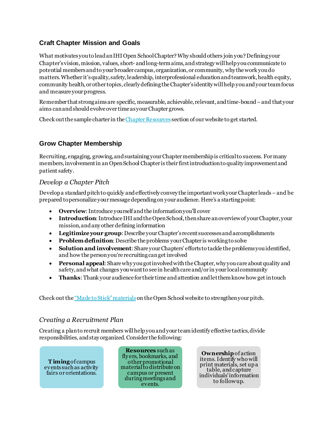#### **Craft Chapter Mission and Goals**

What motivates you to lead an IHI Open School Chapter? Why should others join you? Defining your Chapter's vision, mission, values, short- and long-term aims, and strategywill help you communicate to potential members and to your broader campus, organization, or community, why the work you do matters. Whether it's quality, safety, leadership, interprofessional education and teamwork, health equity, community health, or other topics, clearly defining the Chapter's identity will help you and your team focus and measure your progress.

Remember that strong aims are specific, measurable, achievable, relevant, and time-bound –and that your aims can and should evolve over time as your Chapter grows.

Check out the sample charter in th[e Chapter Resources](http://www.ihi.org/education/IHIOpenSchool/Chapters/Pages/ChapterLeaderResources.aspx) section of our website to get started.

#### **Grow Chapter Membership**

Recruiting, engaging, growing, and sustaining your Chapter membership is critical to success. For many members, involvement in an Open School Chapter is their first introduction to quality improvement and patient safety.

#### *Develop a Chapter Pitch*

Develop a standard pitch to quickly and effectively convey the important work your Chapter leads–and be prepared to personalize your message depending on your audience. Here's a starting point:

- **Overview**: Introduce yourself and the information you'll cover
- **Introduction**: Introduce IHI and the Open School, then share an overview of your Chapter, your mission, and any other defining information
- **Legitimize your group**: Describe your Chapter's recent successes and accomplishments
- **Problem definition**: Describe the problems your Chapter is working to solve
- **Solution and involvement**: Share your Chapters' efforts to tackle the problems you identified, and how the person you're recruiting can get involved
- **Personal appeal**: Share why you got involved with the Chapter, why you care about quality and safety, and what changes you want to see in health care and/or in your local community
- **Thanks**: Thank your audience for their time and attention and let them know how get in touch

Check out the ["Made to Stick" materials](http://www.ihi.org/education/IHIOpenSchool/Chapters/Pages/ChapterMaterials.aspx)on the Open School website to strengthen your pitch.

#### *Creating a Recruitment Plan*

Creating a plan to recruit members will help you and your team identify effective tactics, divide responsibilities, and stay organized. Consider the following:

**T iming**of campus events such as activity fairs or orientations.

**Resources** such as fly ers, bookmarks, and other promotional material to distribute on campus or present during meetings and events.

**Ownership**of action items. Identify who will print materials, set up a table, and capture individuals' information to follow up.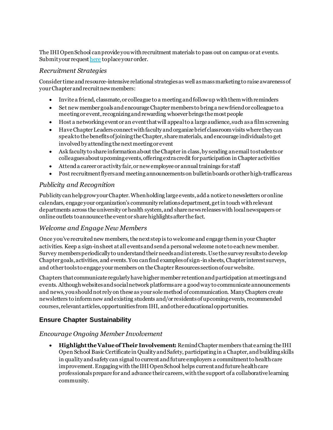The IHI Open School can provide you with recruitment materials to pass out on campus or at events. Submit your reques[t here](https://docs.google.com/forms/d/1wS2im1LHXmA8akOb240pO3bHyr-8rIMA_1OARkX7Oaw/viewform?formkey=dDg4WWJxcGFmbHp6X2xobVg2VV92aXc6MQ) to place your order.

#### *Recruitment Strategies*

Consider time and resource-intensive relational strategies as well as mass marketing to raise awareness of your Chapter and recruit new members:

- Invite a friend, classmate, or colleague to a meeting and follow up with them with reminders
- Set new member goals and encourage Chapter members to bring a new friend or colleague to a meeting or event, recognizing and rewarding whoever brings the most people
- Host a networking event or an event that will appeal to a large audience, such as a film screening
- Have Chapter Leaders connect with faculty and organize brief classroom visits where they can speak to the benefits of joining the Chapter, share materials, and encourage individuals to get involved by attending the next meeting or event
- Ask faculty to share information about the Chapter in class, by sending an email to students or colleagues about upcoming events, offering extra credit for participation in Chapter activities
- Attend a career or activity fair, or new employee or annual trainings for staff
- Post recruitment flyers and meeting announcements on bullet in boards or other high-traffic areas

#### *Publicity and Recognition*

Publicity can help grow your Chapter. When holding large events, add a notice to newsletters or online calendars, engage your organization's community relations department, get in touch with relevant departments across the university or health system, and sharenews releases with local newspapers or online outlets to announce the event or share highlights after the fact.

#### *Welcome and Engage New Members*

Once you've recruited new members, the next step is to welcome and engage them in your Chapter activities. Keep a sign-in sheet at all events and send a personal welcome note to each new member. Survey members periodically to understand their needs and interests. Use the survey results to develop Chapter goals, activities, and events. You can find examples of sign-in sheets, Chapter interest surveys, and other tools to engage your members on the Chapter Resources section of our website.

Chapters that communicate regularly have higher member retention and participation at meetings and events. Although websites and social network platforms are a good way to communicate announcements and news, you should not rely on these as your sole method of communication. Many Chapters create newsletters to inform new and existing students and/or residents of upcoming events, recommended courses, relevant articles, opportunities from IHI, and other educational opportunities.

#### **Ensure Chapter Sustainability**

#### *Encourage Ongoing Member Involvement*

• **Highlight the Value of Their Involvement:** Remind Chapter members that earning the IHI Open School Basic Certificate in Quality and Safety, participating in a Chapter, and buildingskills in quality and safety can signal to current and future employers a commitment to health care improvement. Engaging with the IHI Open School helps current and future health care professionals prepare for and advance their careers, with the support of a collaborative learning community.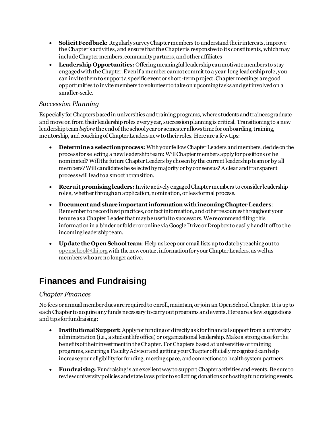- **Solicit Feedback:** Regularly survey Chapter members to understand their interests, improve the Chapter's activities, and ensure that the Chapter is responsive to its constituents, which may include Chapter members, community partners, and other affiliates
- **Leadership Opportunities:** Offering meaningful leadership can motivate members to stay engaged with the Chapter. Even if a member cannot commit to a year-long leadership role, you can invite them to support a specific event or short-term project. Chapter meetings are good opportunities to invite members to volunteer to take on upcoming tasks and get involved on a smaller-scale.

#### *Succession Planning*

Especially for Chapters based in universities and training programs, where students and trainees graduate and move on from their leadership roles every year, succession planning is critical. Transitioning to a new leadership team *before* the end of the school year or semester allows time for onboarding, training, mentorship, and coaching of Chapter Leaders new to their roles. Here are a few tips:

- **Determine a selection process:** With your fellow Chapter Leaders and members, decide on the process for selecting a new leadership team: Will Chapter members apply for positions or be nominated? Will the future Chapter Leaders by chosen by the current leadership team or by all members? Will candidates be selected by majority or by consensus? A clear and transparent process will lead to a smooth transition.
- **Recruit promising leaders:** Invite actively engaged Chapter members to consider leadership roles, whether through an application, nomination, or less formal process.
- **Document and share important information withincoming Chapter Leaders**: Remember to record best practices, contact information, and other resources throughout your tenure as a Chapter Leader that may be useful to successors. We recommend filing this information in a binder or folder or online via Google Drive or Dropbox to easily hand it off to the incoming leadership team.
- **Update the Open School team**: Help us keep our email lists up to date by reaching out to [openschool@ihi.org](mailto:openschool@ihi.org)with the new contact information for your Chapter Leaders, as well as memberswho are no longer active.

## **Finances and Fundraising**

#### *Chapter Finances*

No fees or annual member dues are required to enroll, maintain, or join an Open School Chapter. It is up to each Chapter to acquire any funds necessary to carry out programs and events. Here are a few suggestions and tips for fundraising:

- **Institutional Support:** Apply for funding or directly ask for financial support from a university administration (i.e., a student life office) or organizational leadership. Make a strong case for the benefits of their investment in the Chapter. For Chapters based at universities or training programs, securing a Faculty Advisor and getting your Chapter officially recognized can help increase your eligibility for funding, meeting space, and connections to health system partners.
- **Fundraising:** Fundraising is an excellent way to support Chapter activities and events. Be sure to review university policies and state laws prior to soliciting donations or hosting fundraising events.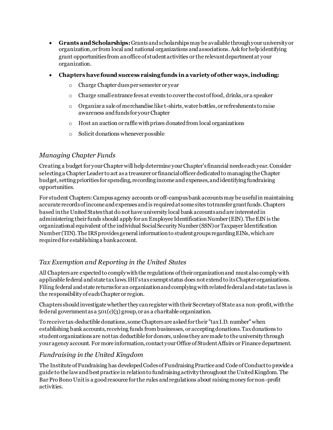- **Grants and Scholarships:**Grantsand scholarshipsmay be available through your university or organization, or from local and national organizations and associations. Ask for help identifying grant opportunities from an office of student activities or the relevant department at your organization.
- **Chapters have found success raising funds in a variety of other ways, including:**
	- o Charge Chapter dues per semester or year
	- o Charge small entrance fees at events to cover the cost of food, drinks, or a speaker
	- o Organize a sale of merchandise like t-shirts, water bottles, or refreshments to raise awareness and funds for your Chapter
	- o Host an auction or raffle with prizes donated from local organizations
	- o Solicit donations whenever possible

#### *Managing Chapter Funds*

Creating a budget for your Chapter will help determine your Chapter's financial needs each year. Consider selecting a Chapter Leader to act as a treasurer or financial officer dedicated to managing the Chapter budget, setting priorities for spending, recording income and expenses, and identifying fundraising opportunities.

For student Chapters: Campus agency accounts or off-campus bank accounts may be useful in maintaining accurate records of income and expenses and is required at some sites to transfer grant funds. Chapters based in the United States that do not have university local bank accounts and are interested in administering their funds should apply for an Employee Identification Number (EIN). The EIN is the organizational equivalent of the individual Social Security Number (SSN) or Taxpayer Identification Number (TIN). The IRS provides general information to student groups regarding EINs, which are required for establishing a bank account.

#### *Tax Exemption and Reporting in the United States*

All Chapters are expected to comply with the regulations of their organization and must also comply with applicable federal and state tax laws. IHI's tax exempt status does not extend to its Chapter organizations. Filing federal and state returns for an organization and complying with related federal and state tax laws is the responsibility of each Chapter or region.

Chapters should investigate whether they can register with their Secretary of State as a non-profit, with the federal government as a  $501(c)(3)$  group, or as a charitable organization.

To receive tax-deductible donations, some Chapters are asked for their "tax I.D. number" when establishing bank accounts, receiving funds from businesses, or accepting donations. Tax donations to student organizations are not tax deductible for donors, unless they are made to the university through your agency account. For more information, contact your Office of Student Affairs or Finance department.

#### *Fundraising in the United Kingdom*

The Institute of Fundraising has developed Codes of Fundraising Practice and Code of Conduct to provide a guide to the law and best practice in relation to fundraising activity throughout the United Kingdom. The Bar Pro Bono Unit is a good resource for the rules and regulations about raising money for non-profit activities.